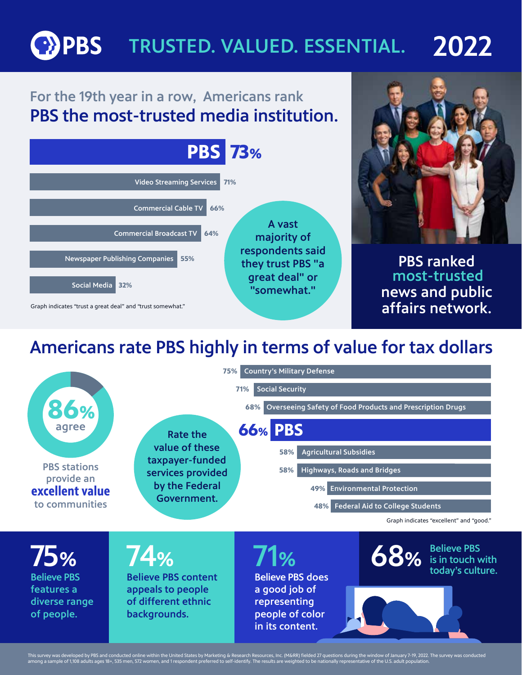#### **OPBS** TRUSTED. VALUED. ESSENTIAL. 2022

### For the 19th year in a row, Americans rank PBS the most-trusted media institution.



## Americans rate PBS highly in terms of value for tax dollars



This survey was developed by PBS and conducted online within the United States by Marketing & Research Resources, Inc. (M&RR) fielded 27 questions during the window of January 7-19, 2022. The survey was conducted<br>among a s